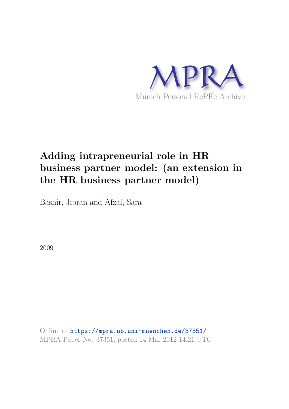

# **Adding intrapreneurial role in HR business partner model: (an extension in the HR business partner model)**

Bashir, Jibran and Afzal, Sara

2009

Online at https://mpra.ub.uni-muenchen.de/37351/ MPRA Paper No. 37351, posted 14 Mar 2012 14:21 UTC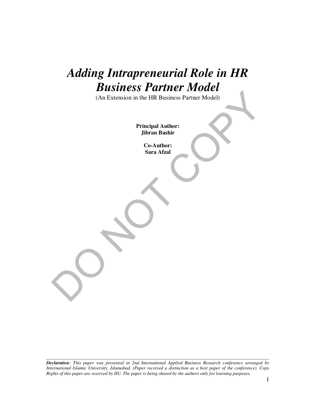# *Adding Intrapreneurial Role in HR Business Partner Model*

(An Extension in the HR Business Partner Model)

**Principal Author: Jibran Bashir** 

> **Co-Author: Sara Afzal**

*Declaration: This paper was presented in 2nd International Applied Business Research conference arranged by International Islamic University, Islamabad. (Paper received a distinction as a best paper of the conference). Copy Rights of this paper are reserved by IIU. The paper is being shared by the authors only for learning purposes.*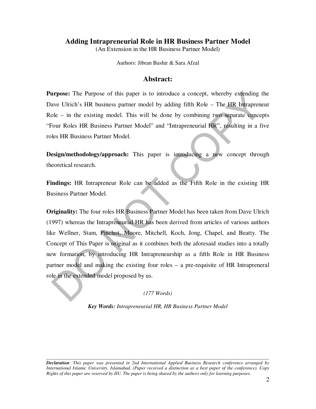## **Adding Intrapreneurial Role in HR Business Partner Model**

(An Extension in the HR Business Partner Model)

Authors: Jibran Bashir & Sara Afzal

## **Abstract:**

**Purpose:** The Purpose of this paper is to introduce a concept, whereby extending the Dave Ulrich's HR business partner model by adding fifth Role – The HR Intrapreneur Role – in the existing model. This will be done by combining two separate concepts "Four Roles HR Business Partner Model" and "Intrapreneurial HR", resulting in a five roles HR Business Partner Model.

**Design/methodology/approach:** This paper is introducing a new concept through theoretical research.

**Findings:** HR Intrapreneur Role can be added as the Fifth Role in the existing HR Business Partner Model.

**Originality:** The four roles HR Business Partner Model has been taken from Dave Ulrich (1997) whereas the Intrapreneurial HR has been derived from articles of various authors like Wellner, Stam, Pinchot, Moore, Mitchell, Koch, Jong, Chapel, and Beatty. The Concept of This Paper is original as it combines both the aforesaid studies into a totally new formation, by introducing HR Intrapreneurship as a fifth Role in HR Business partner model and making the existing four roles – a pre-requisite of HR Intrapreneral role in the extended model proposed by us.

## *(177 Words)*

*Key Words: Intrapreneurial HR, HR Business Partner Model* 

*Declaration: This paper was presented in 2nd International Applied Business Research conference arranged by International Islamic University, Islamabad. (Paper received a distinction as a best paper of the conference). Copy Rights of this paper are reserved by IIU. The paper is being shared by the authors only for learning purposes.*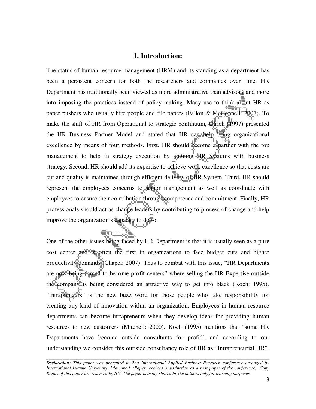#### **1. Introduction:**

The status of human resource management (HRM) and its standing as a department has been a persistent concern for both the researchers and companies over time. HR Department has traditionally been viewed as more administrative than advisory and more into imposing the practices instead of policy making. Many use to think about HR as paper pushers who usually hire people and file papers (Fallon & McConnell: 2007). To make the shift of HR from Operational to strategic continuum, Ulrich (1997) presented the HR Business Partner Model and stated that HR can help bring organizational excellence by means of four methods. First, HR should become a partner with the top management to help in strategy execution by aligning HR Systems with business strategy. Second, HR should add its expertise to achieve work excellence so that costs are cut and quality is maintained through efficient delivery of HR System. Third, HR should represent the employees concerns to senior management as well as coordinate with employees to ensure their contribution through competence and commitment. Finally, HR professionals should act as change leaders by contributing to process of change and help improve the organization's capacity to do so.

One of the other issues being faced by HR Department is that it is usually seen as a pure cost center and is often the first in organizations to face budget cuts and higher productivity demands (Chapel: 2007). Thus to combat with this issue, "HR Departments are now being forced to become profit centers" where selling the HR Expertise outside the company is being considered an attractive way to get into black (Koch: 1995). "Intrapreneurs" is the new buzz word for those people who take responsibility for creating any kind of innovation within an organization. Employees in human resource departments can become intrapreneurs when they develop ideas for providing human resources to new customers (Mitchell: 2000). Koch (1995) mentions that "some HR Departments have become outside consultants for profit", and according to our understanding we consider this outiside consultancy role of HR as "Intrapreneurial HR".

*Declaration: This paper was presented in 2nd International Applied Business Research conference arranged by International Islamic University, Islamabad. (Paper received a distinction as a best paper of the conference). Copy Rights of this paper are reserved by IIU. The paper is being shared by the authors only for learning purposes.*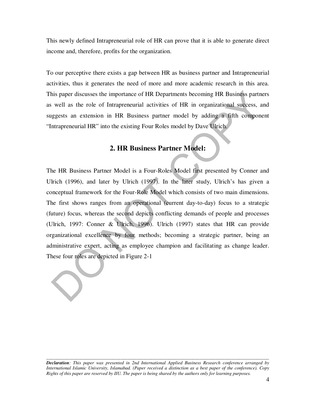This newly defined Intrapreneurial role of HR can prove that it is able to generate direct income and, therefore, profits for the organization.

To our perceptive there exists a gap between HR as business partner and Intrapreneurial activities, thus it generates the need of more and more academic research in this area. This paper discusses the importance of HR Departments becoming HR Business partners as well as the role of Intrapreneurial activities of HR in organizational success, and suggests an extension in HR Business partner model by adding a fifth component "Intrapreneurial HR" into the existing Four Roles model by Dave Ulrich.

## **2. HR Business Partner Model:**

The HR Business Partner Model is a Four-Roles Model first presented by Conner and Ulrich (1996), and later by Ulrich (1997). In the later study, Ulrich's has given a conceptual framework for the Four-Role Model which consists of two main dimensions. The first shows ranges from an operational (current day-to-day) focus to a strategic (future) focus, whereas the second depicts conflicting demands of people and processes (Ulrich, 1997: Conner & Ulrich, 1996). Ulrich (1997) states that HR can provide organizational excellence by four methods; becoming a strategic partner, being an administrative expert, acting as employee champion and facilitating as change leader. These four roles are depicted in Figure 2-1

*Declaration: This paper was presented in 2nd International Applied Business Research conference arranged by International Islamic University, Islamabad. (Paper received a distinction as a best paper of the conference). Copy Rights of this paper are reserved by IIU. The paper is being shared by the authors only for learning purposes.*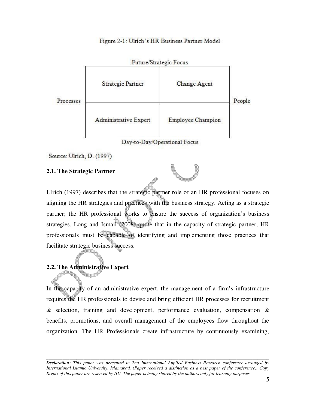



Source: Ulrich, D. (1997)

# **2.1. The Strategic Partner**

Ulrich (1997) describes that the strategic partner role of an HR professional focuses on aligning the HR strategies and practices with the business strategy. Acting as a strategic partner; the HR professional works to ensure the success of organization's business strategies. Long and Ismail (2008) quote that in the capacity of strategic partner, HR professionals must be capable of identifying and implementing those practices that facilitate strategic business success.

# **2.2. The Administrative Expert**

In the capacity of an administrative expert, the management of a firm's infrastructure requires the HR professionals to devise and bring efficient HR processes for recruitment  $\&$  selection, training and development, performance evaluation, compensation  $\&$ benefits, promotions, and overall management of the employees flow throughout the organization. The HR Professionals create infrastructure by continuously examining,

*Declaration: This paper was presented in 2nd International Applied Business Research conference arranged by International Islamic University, Islamabad. (Paper received a distinction as a best paper of the conference). Copy Rights of this paper are reserved by IIU. The paper is being shared by the authors only for learning purposes.*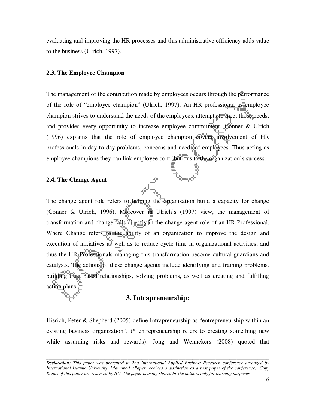evaluating and improving the HR processes and this administrative efficiency adds value to the business (Ulrich, 1997).

#### **2.3. The Employee Champion**

The management of the contribution made by employees occurs through the performance of the role of "employee champion" (Ulrich, 1997). An HR professional as employee champion strives to understand the needs of the employees, attempts to meet those needs, and provides every opportunity to increase employee commitment. Conner & Ulrich (1996) explains that the role of employee champion covers involvement of HR professionals in day-to-day problems, concerns and needs of employees. Thus acting as employee champions they can link employee contributions to the organization's success.

#### **2.4. The Change Agent**

The change agent role refers to helping the organization build a capacity for change (Conner & Ulrich, 1996). Moreover in Ulrich's (1997) view, the management of transformation and change falls directly in the change agent role of an HR Professional. Where Change refers to the ability of an organization to improve the design and execution of initiatives as well as to reduce cycle time in organizational activities; and thus the HR Professionals managing this transformation become cultural guardians and catalysts. The actions of these change agents include identifying and framing problems, building trust based relationships, solving problems, as well as creating and fulfilling action plans.

### **3. Intrapreneurship:**

Hisrich, Peter & Shepherd (2005) define Intrapreneurship as "entrepreneurship within an existing business organization". (\* entrepreneurship refers to creating something new while assuming risks and rewards). Jong and Wennekers (2008) quoted that

*Declaration: This paper was presented in 2nd International Applied Business Research conference arranged by International Islamic University, Islamabad. (Paper received a distinction as a best paper of the conference). Copy Rights of this paper are reserved by IIU. The paper is being shared by the authors only for learning purposes.*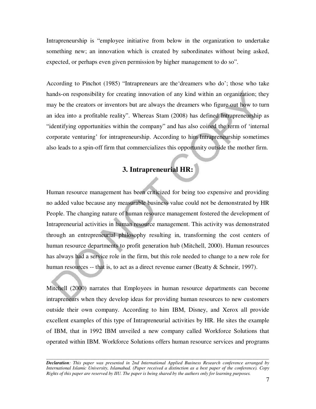Intrapreneurship is "employee initiative from below in the organization to undertake something new; an innovation which is created by subordinates without being asked, expected, or perhaps even given permission by higher management to do so".

According to Pinchot (1985) "Intrapreneurs are the'dreamers who do'; those who take hands-on responsibility for creating innovation of any kind within an organization; they may be the creators or inventors but are always the dreamers who figure out how to turn an idea into a profitable reality". Whereas Stam (2008) has defined Intrapreneurship as "identifying opportunities within the company" and has also coined the term of 'internal corporate venturing' for intrapreneurship. According to him Intrapreneurship sometimes also leads to a spin-off firm that commercializes this opportunity outside the mother firm.

# **3. Intrapreneurial HR:**

Human resource management has been criticized for being too expensive and providing no added value because any measurable business value could not be demonstrated by HR People. The changing nature of human resource management fostered the development of Intrapreneurial activities in human resource management. This activity was demonstrated through an entrepreneurial philosophy resulting in, transforming the cost centers of human resource departments to profit generation hub (Mitchell, 2000). Human resources has always had a service role in the firm, but this role needed to change to a new role for human resources -- that is, to act as a direct revenue earner (Beatty & Schneir, 1997).

Mitchell (2000) narrates that Employees in human resource departments can become intrapreneurs when they develop ideas for providing human resources to new customers outside their own company. According to him IBM, Disney, and Xerox all provide excellent examples of this type of Intrapreneurial activities by HR. He sites the example of IBM, that in 1992 IBM unveiled a new company called Workforce Solutions that operated within IBM. Workforce Solutions offers human resource services and programs

*Declaration: This paper was presented in 2nd International Applied Business Research conference arranged by International Islamic University, Islamabad. (Paper received a distinction as a best paper of the conference). Copy Rights of this paper are reserved by IIU. The paper is being shared by the authors only for learning purposes.*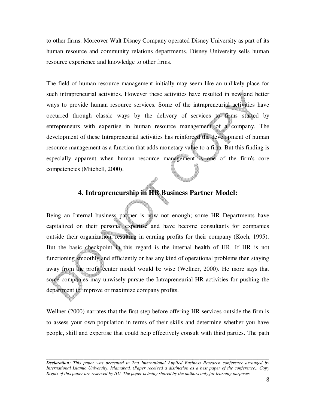to other firms. Moreover Walt Disney Company operated Disney University as part of its human resource and community relations departments. Disney University sells human resource experience and knowledge to other firms.

The field of human resource management initially may seem like an unlikely place for such intrapreneurial activities. However these activities have resulted in new and better ways to provide human resource services. Some of the intrapreneurial activities have occurred through classic ways by the delivery of services to firms started by entrepreneurs with expertise in human resource management of a company. The development of these Intrapreneurial activities has reinforced the development of human resource management as a function that adds monetary value to a firm. But this finding is especially apparent when human resource management is one of the firm's core competencies (Mitchell, 2000).

# **4. Intrapreneurship in HR Business Partner Model:**

Being an Internal business partner is now not enough; some HR Departments have capitalized on their personal expertise and have become consultants for companies outside their organization, resulting in earning profits for their company (Koch, 1995). But the basic checkpoint in this regard is the internal health of HR. If HR is not functioning smoothly and efficiently or has any kind of operational problems then staying away from the profit center model would be wise (Wellner, 2000). He more says that some companies may unwisely pursue the Intrapreneurial HR activities for pushing the department to improve or maximize company profits.

Wellner (2000) narrates that the first step before offering HR services outside the firm is to assess your own population in terms of their skills and determine whether you have people, skill and expertise that could help effectively consult with third parties. The path

*Declaration: This paper was presented in 2nd International Applied Business Research conference arranged by International Islamic University, Islamabad. (Paper received a distinction as a best paper of the conference). Copy Rights of this paper are reserved by IIU. The paper is being shared by the authors only for learning purposes.*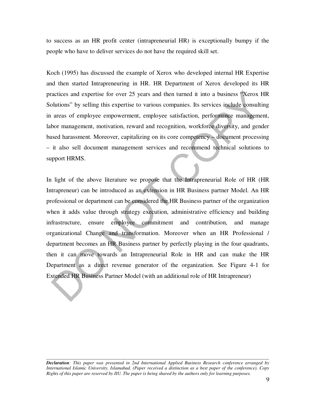to success as an HR profit center (intrapreneurial HR) is exceptionally bumpy if the people who have to deliver services do not have the required skill set.

Koch (1995) has discussed the example of Xerox who developed internal HR Expertise and then started Intrapreneuring in HR. HR Department of Xerox developed its HR practices and expertise for over 25 years and then turned it into a business "Xerox HR Solutions" by selling this expertise to various companies. Its services include consulting in areas of employee empowerment, employee satisfaction, performance management, labor management, motivation, reward and recognition, workforce diversity, and gender based harassment. Moreover, capitalizing on its core competency – document processing – it also sell document management services and recommend technical solutions to support HRMS.

In light of the above literature we propose that the Intrapreneurial Role of HR (HR Intrapreneur) can be introduced as an extension in HR Business partner Model. An HR professional or department can be considered the HR Business partner of the organization when it adds value through strategy execution, administrative efficiency and building infrastructure, ensure employee commitment and contribution, and manage organizational Change and transformation. Moreover when an HR Professional / department becomes an HR Business partner by perfectly playing in the four quadrants, then it can move towards an Intrapreneurial Role in HR and can make the HR Department as a direct revenue generator of the organization. See Figure 4-1 for Extended HR Business Partner Model (with an additional role of HR Intrapreneur)

*Declaration: This paper was presented in 2nd International Applied Business Research conference arranged by International Islamic University, Islamabad. (Paper received a distinction as a best paper of the conference). Copy Rights of this paper are reserved by IIU. The paper is being shared by the authors only for learning purposes.*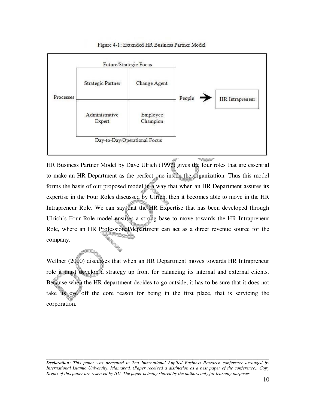

Figure 4-1: Extended HR Business Partner Model

HR Business Partner Model by Dave Ulrich (1997) gives the four roles that are essential to make an HR Department as the perfect one inside the organization. Thus this model forms the basis of our proposed model in a way that when an HR Department assures its expertise in the Four Roles discussed by Ulrich, then it becomes able to move in the HR Intrapreneur Role. We can say that the HR Expertise that has been developed through Ulrich's Four Role model ensures a strong base to move towards the HR Intrapreneur Role, where an HR Professional/department can act as a direct revenue source for the company.

Wellner (2000) discusses that when an HR Department moves towards HR Intrapreneur role it must develop a strategy up front for balancing its internal and external clients. Because when the HR department decides to go outside, it has to be sure that it does not take its eye off the core reason for being in the first place, that is servicing the corporation.

*Declaration: This paper was presented in 2nd International Applied Business Research conference arranged by International Islamic University, Islamabad. (Paper received a distinction as a best paper of the conference). Copy Rights of this paper are reserved by IIU. The paper is being shared by the authors only for learning purposes.*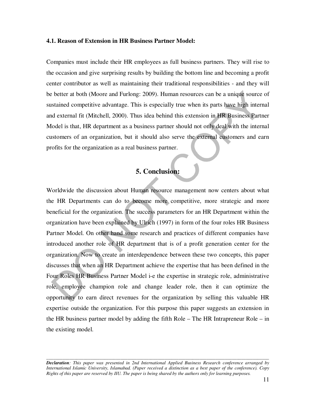#### **4.1. Reason of Extension in HR Business Partner Model:**

Companies must include their HR employees as full business partners. They will rise to the occasion and give surprising results by building the bottom line and becoming a profit center contributor as well as maintaining their traditional responsibilities - and they will be better at both (Moore and Furlong: 2009). Human resources can be a unique source of sustained competitive advantage. This is especially true when its parts have high internal and external fit (Mitchell, 2000). Thus idea behind this extension in HR Business Partner Model is that, HR department as a business partner should not only deal with the internal customers of an organization, but it should also serve the external customers and earn profits for the organization as a real business partner.

# **5. Conclusion:**

Worldwide the discussion about Human resource management now centers about what the HR Departments can do to become more competitive, more strategic and more beneficial for the organization. The success parameters for an HR Department within the organization have been explained by Ulrich (1997) in form of the four roles HR Business Partner Model. On other hand some research and practices of different companies have introduced another role of HR department that is of a profit generation center for the organization. Now to create an interdependence between these two concepts, this paper discusses that when an HR Department achieve the expertise that has been defined in the Four Roles HR Business Partner Model i-e the expertise in strategic role, administrative role, employee champion role and change leader role, then it can optimize the opportunity to earn direct revenues for the organization by selling this valuable HR expertise outside the organization. For this purpose this paper suggests an extension in the HR business partner model by adding the fifth Role – The HR Intrapreneur Role – in the existing model.

*Declaration: This paper was presented in 2nd International Applied Business Research conference arranged by International Islamic University, Islamabad. (Paper received a distinction as a best paper of the conference). Copy Rights of this paper are reserved by IIU. The paper is being shared by the authors only for learning purposes.*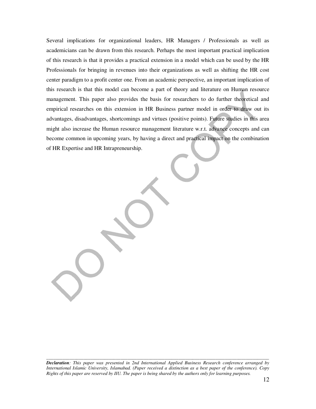Several implications for organizational leaders, HR Managers / Professionals as well as academicians can be drawn from this research. Perhaps the most important practical implication of this research is that it provides a practical extension in a model which can be used by the HR Professionals for bringing in revenues into their organizations as well as shifting the HR cost center paradigm to a profit center one. From an academic perspective, an important implication of this research is that this model can become a part of theory and literature on Human resource management. This paper also provides the basis for researchers to do further theoretical and empirical researches on this extension in HR Business partner model in order to draw out its advantages, disadvantages, shortcomings and virtues (positive points). Future studies in this area might also increase the Human resource management literature w.r.t. advance concepts and can become common in upcoming years, by having a direct and practical impact on the combination of HR Expertise and HR Intrapreneurship.

*Declaration: This paper was presented in 2nd International Applied Business Research conference arranged by International Islamic University, Islamabad. (Paper received a distinction as a best paper of the conference). Copy Rights of this paper are reserved by IIU. The paper is being shared by the authors only for learning purposes.*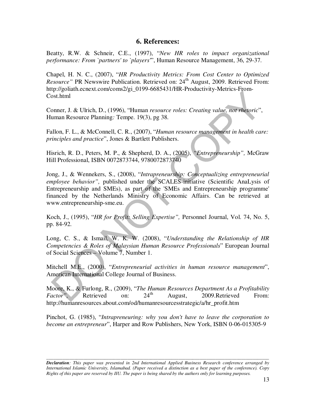## **6. References:**

Beatty, R.W. & Schneir, C.E., (1997), "*New HR roles to impact organizational performance: From `partners' to `players'*", Human Resource Management, 36, 29-37.

Chapel, H. N. C., (2007), "*HR Productivity Metrics: From Cost Center to Optimized Resource*" PR Newswire Publication. Retrieved on: 24<sup>th</sup> August, 2009. Retrieved From: http://goliath.ecnext.com/coms2/gi\_0199-6685431/HR-Productivity-Metrics-From-Cost.html

Conner, J. & Ulrich, D., (1996), "Human *resource roles: Creating value, not rhetoric*", Human Resource Planning*:* Tempe. 19(3), pg 38.

Fallon, F. L., & McConnell, C. R., (2007), "*Human resource management in health care: principles and practice*", Jones & Bartlett Publishers.

Hisrich, R. D., Peters, M. P., & Shepherd, D. A., (2005), *"Entrepreneurship",* McGraw Hill Professional, ISBN 0072873744, 9780072873740

Jong, J., & Wennekers, S., (2008), "*Intrapreneurship: Conceptualizing entrepreneurial employee behavior",* published under the SCALES-initiative (Scientific AnaLysis of Entrepreneurship and SMEs), as part of the 'SMEs and Entrepreneurship programme' financed by the Netherlands Ministry of Economic Affairs. Can be retrieved at www.entrepreneurship-sme.eu.

Koch, J., (1995), "*HR for Profit: Selling Expertise",* Personnel Journal, Vol. 74, No. 5, pp. 84-92.

Long, C. S., & Ismail, W. K. W. (2008), "*Understanding the Relationship of HR Competencies & Roles of Malaysian Human Resource Professionals*" European Journal of Social Sciences – Volume 7, Number 1.

Mitchell M.E., (2000), "*Entrepreneurial activities in human resource management*", American International College Journal of Business.

Moore, K., & Furlong, R., (2009), "*The Human Resources Department As a Profitability Factor"*, Retrieved on:  $24<sup>th</sup>$  August, 2009.Retrieved From: http://humanresources.about.com/od/humanresourcesstrategic/a/hr\_profit.htm

Pinchot, G. (1985), "*Intrapreneuring: why you don't have to leave the corporation to become an entrepreneur*", Harper and Row Publishers, New York, ISBN 0-06-015305-9

*Declaration: This paper was presented in 2nd International Applied Business Research conference arranged by International Islamic University, Islamabad. (Paper received a distinction as a best paper of the conference). Copy Rights of this paper are reserved by IIU. The paper is being shared by the authors only for learning purposes.*